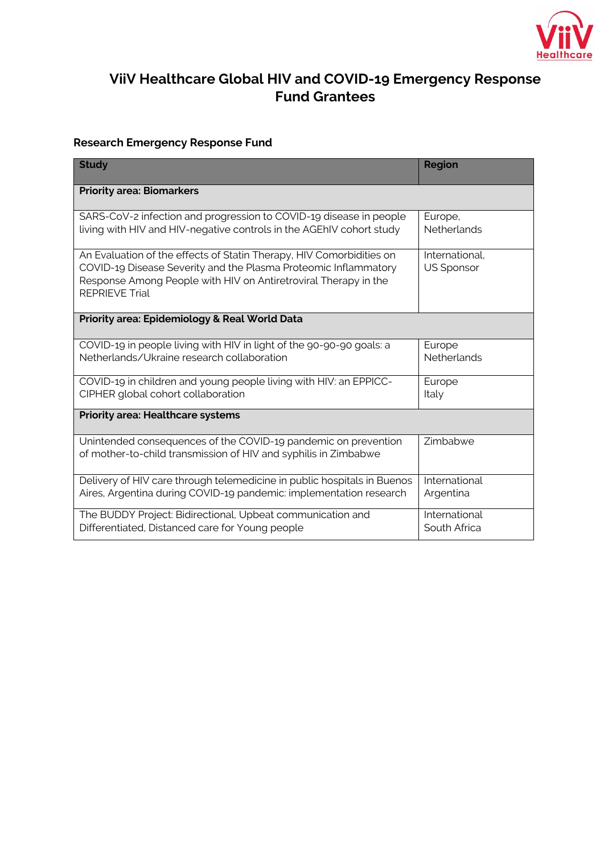

## **ViiV Healthcare Global HIV and COVID-19 Emergency Response Fund Grantees**

## **Research Emergency Response Fund**

| <b>Study</b>                                                                                                                                                                                                                        | <b>Region</b>                       |  |  |  |
|-------------------------------------------------------------------------------------------------------------------------------------------------------------------------------------------------------------------------------------|-------------------------------------|--|--|--|
| <b>Priority area: Biomarkers</b>                                                                                                                                                                                                    |                                     |  |  |  |
| SARS-CoV-2 infection and progression to COVID-19 disease in people<br>living with HIV and HIV-negative controls in the AGEhIV cohort study                                                                                          | Europe,<br>Netherlands              |  |  |  |
| An Evaluation of the effects of Statin Therapy, HIV Comorbidities on<br>COVID-19 Disease Severity and the Plasma Proteomic Inflammatory<br>Response Among People with HIV on Antiretroviral Therapy in the<br><b>REPRIEVE Trial</b> | International.<br><b>US Sponsor</b> |  |  |  |
| Priority area: Epidemiology & Real World Data                                                                                                                                                                                       |                                     |  |  |  |
| COVID-19 in people living with HIV in light of the 90-90-90 goals: a<br>Netherlands/Ukraine research collaboration                                                                                                                  | Europe<br><b>Netherlands</b>        |  |  |  |
| COVID-19 in children and young people living with HIV: an EPPICC-<br>CIPHER global cohort collaboration                                                                                                                             | Europe<br>Italy                     |  |  |  |
| <b>Priority area: Healthcare systems</b>                                                                                                                                                                                            |                                     |  |  |  |
| Unintended consequences of the COVID-19 pandemic on prevention<br>of mother-to-child transmission of HIV and syphilis in Zimbabwe                                                                                                   | Zimbabwe                            |  |  |  |
| Delivery of HIV care through telemedicine in public hospitals in Buenos<br>Aires, Argentina during COVID-19 pandemic: implementation research                                                                                       | International<br>Argentina          |  |  |  |
| The BUDDY Project: Bidirectional, Upbeat communication and<br>Differentiated, Distanced care for Young people                                                                                                                       | International<br>South Africa       |  |  |  |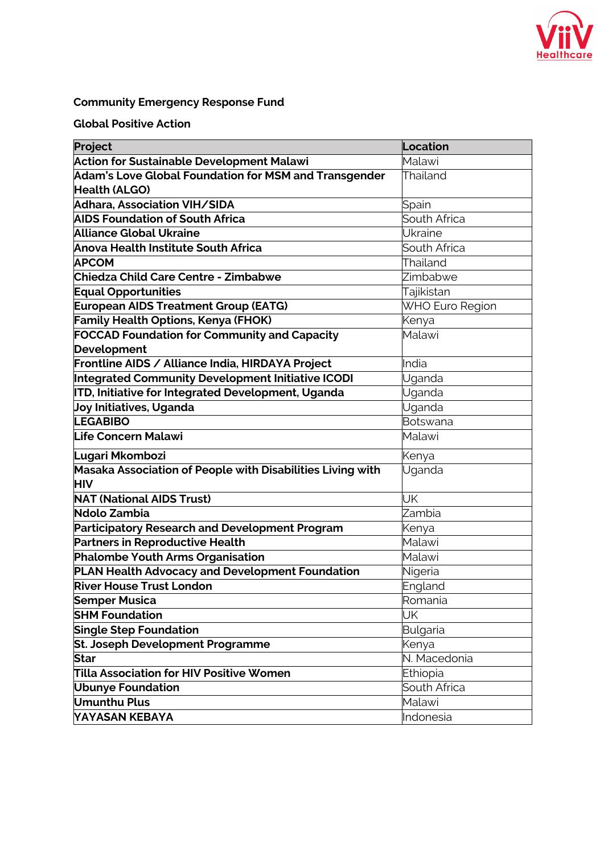

## **Community Emergency Response Fund**

## **Global Positive Action**

| Project                                                    | Location        |
|------------------------------------------------------------|-----------------|
| <b>Action for Sustainable Development Malawi</b>           | Malawi          |
| Adam's Love Global Foundation for MSM and Transgender      | Thailand        |
| <b>Health (ALGO)</b>                                       |                 |
| Adhara, Association VIH/SIDA                               | Spain           |
| <b>AIDS Foundation of South Africa</b>                     | South Africa    |
| <b>Alliance Global Ukraine</b>                             | Ukraine         |
| Anova Health Institute South Africa                        | South Africa    |
| <b>APCOM</b>                                               | Thailand        |
| <b>Chiedza Child Care Centre - Zimbabwe</b>                | Zimbabwe        |
| <b>Equal Opportunities</b>                                 | Tajikistan      |
| <b>European AIDS Treatment Group (EATG)</b>                | WHO Euro Region |
| <b>Family Health Options, Kenya (FHOK)</b>                 | Kenya           |
| <b>FOCCAD Foundation for Community and Capacity</b>        | Malawi          |
| <b>Development</b>                                         |                 |
| Frontline AIDS / Alliance India, HIRDAYA Project           | India           |
| Integrated Community Development Initiative ICODI          | Uganda          |
| <b>ITD, Initiative for Integrated Development, Uganda</b>  | Uganda          |
| Joy Initiatives, Uganda                                    | Uganda          |
| <b>LEGABIBO</b>                                            | <b>Botswana</b> |
| <b>Life Concern Malawi</b>                                 | Malawi          |
| Lugari Mkombozi                                            | Kenya           |
| Masaka Association of People with Disabilities Living with | Uganda          |
| <b>HIV</b>                                                 |                 |
| <b>NAT (National AIDS Trust)</b>                           | UK              |
| Ndolo Zambia                                               | Zambia          |
| Participatory Research and Development Program             | Kenya           |
| <b>Partners in Reproductive Health</b>                     | Malawi          |
| <b>Phalombe Youth Arms Organisation</b>                    | Malawi          |
| PLAN Health Advocacy and Development Foundation            | Nigeria         |
| <b>River House Trust London</b>                            | England         |
| <b>Semper Musica</b>                                       | Romania         |
| <b>SHM Foundation</b>                                      | UK              |
| <b>Single Step Foundation</b>                              | Bulgaria        |
| St. Joseph Development Programme                           | Kenya           |
| Star                                                       | N. Macedonia    |
| <b>Tilla Association for HIV Positive Women</b>            | Ethiopia        |
| <b>Ubunye Foundation</b>                                   | South Africa    |
| Umunthu Plus                                               | Malawi          |
| YAYASAN KEBAYA                                             | Indonesia       |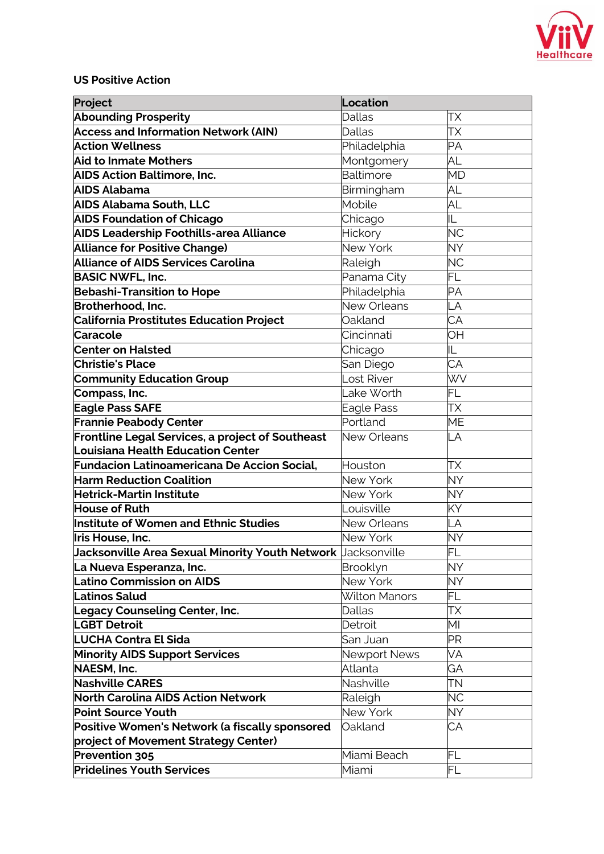

**US Positive Action**

| Project                                                                     | Location             |                 |  |
|-----------------------------------------------------------------------------|----------------------|-----------------|--|
| <b>Abounding Prosperity</b>                                                 | <b>Dallas</b>        | ТX              |  |
| <b>Access and Information Network (AIN)</b>                                 | <b>Dallas</b>        | ТX              |  |
| <b>Action Wellness</b>                                                      | Philadelphia         | <b>PA</b>       |  |
| <b>Aid to Inmate Mothers</b>                                                | Montgomery           | AL              |  |
| <b>AIDS Action Baltimore, Inc.</b>                                          | Baltimore            | <b>MD</b>       |  |
| AIDS Alabama                                                                | Birmingham           | AL              |  |
| <b>AIDS Alabama South, LLC</b>                                              | Mobile               | AL              |  |
| <b>AIDS Foundation of Chicago</b>                                           | Chicago              | IL              |  |
| <b>AIDS Leadership Foothills-area Alliance</b>                              | Hickory              | <b>NC</b>       |  |
| <b>Alliance for Positive Change)</b>                                        | New York             | <b>NY</b>       |  |
| <b>Alliance of AIDS Services Carolina</b>                                   | Raleigh              | <b>NC</b>       |  |
| <b>BASIC NWFL, Inc.</b>                                                     | Panama City          | FL              |  |
| <b>Bebashi-Transition to Hope</b>                                           | Philadelphia         | PA              |  |
| Brotherhood, Inc.                                                           | <b>New Orleans</b>   | LA              |  |
| <b>California Prostitutes Education Project</b>                             | Oakland              | CA              |  |
| <b>Caracole</b>                                                             | Cincinnati           | <b>OH</b>       |  |
| <b>Center on Halsted</b>                                                    | Chicago              | IL              |  |
| <b>Christie's Place</b>                                                     | San Diego            | $\overline{CA}$ |  |
| <b>Community Education Group</b>                                            | Lost River           | <b>WV</b>       |  |
| Compass, Inc.                                                               | Lake Worth           | <b>FL</b>       |  |
| <b>Eagle Pass SAFE</b>                                                      | Eagle Pass           | ТX              |  |
| <b>Frannie Peabody Center</b>                                               | Portland             | <b>ME</b>       |  |
| Frontline Legal Services, a project of Southeast                            | New Orleans          | LA              |  |
| Louisiana Health Education Center                                           |                      |                 |  |
| <b>Fundacion Latinoamericana De Accion Social,</b>                          | Houston              | ТX              |  |
| <b>Harm Reduction Coalition</b>                                             | New York             | <b>NY</b>       |  |
| <b>Hetrick-Martin Institute</b>                                             | New York             | <b>NY</b>       |  |
| <b>House of Ruth</b>                                                        | Louisville           | KY              |  |
| Institute of Women and Ethnic Studies                                       | New Orleans          | LA              |  |
| Iris House, Inc.                                                            | New York             | <b>NY</b>       |  |
| <b>Jacksonville Area Sexual Minority Youth Network</b> $\vert$ Jacksonville |                      | FL              |  |
| La Nueva Esperanza, Inc.                                                    | Brooklyn             | NY.             |  |
| Latino Commission on AIDS                                                   | New York             | NY.             |  |
| <b>Latinos Salud</b>                                                        | <b>Wilton Manors</b> | FL              |  |
| <b>Legacy Counseling Center, Inc.</b>                                       | Dallas               | TΧ              |  |
| <b>LGBT Detroit</b>                                                         | Detroit              | MI              |  |
| <b>LUCHA Contra El Sida</b>                                                 | San Juan             | ΡR              |  |
| <b>Minority AIDS Support Services</b>                                       | <b>Newport News</b>  | VA              |  |
| NAESM, Inc.                                                                 | Atlanta              | GA              |  |
| <b>Nashville CARES</b>                                                      | Nashville            | TΝ              |  |
| <b>North Carolina AIDS Action Network</b>                                   | Raleigh              | <b>NC</b>       |  |
| <b>Point Source Youth</b>                                                   | New York             | <b>NY</b>       |  |
| Positive Women's Network (a fiscally sponsored                              | Oakland              | СA              |  |
| project of Movement Strategy Center)                                        |                      |                 |  |
| Prevention 305                                                              | Miami Beach          | FL              |  |
| <b>Pridelines Youth Services</b>                                            | Miami                | FL              |  |